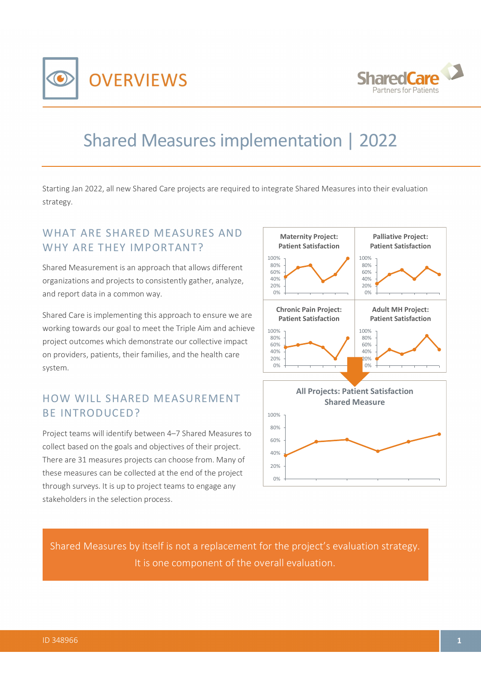



## Shared Measures implementation | 2022

Starting Jan 2022, all new Shared Care projects are required to integrate Shared Measures into their evaluation strategy.

## WHAT ARE SHARED MEASURES AND WHY ARE THEY IMPORTANT?

Shared Measurement is an approach that allows different organizations and projects to consistently gather, analyze, and report data in a common way.

Shared Care is implementing this approach to ensure we are working towards our goal to meet the Triple Aim and achieve project outcomes which demonstrate our collective impact on providers, patients, their families, and the health care system.

## HOW WILL SHARED MEASUREMENT BE INTRODUCED?

Project teams will identify between 4–7 Shared Measures to collect based on the goals and objectives of their project. There are 31 measures projects can choose from. Many of these measures can be collected at the end of the project through surveys. It is up to project teams to engage any stakeholders in the selection process.



Shared Measures by itself is not a replacement for the project's evaluation strategy. It is one component of the overall evaluation.